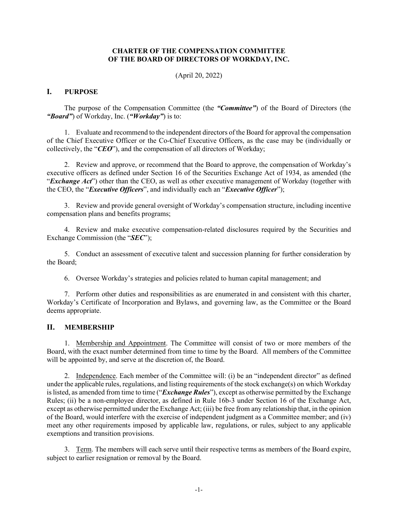## **CHARTER OF THE COMPENSATION COMMITTEE OF THE BOARD OF DIRECTORS OF WORKDAY, INC.**

(April 20, 2022)

#### **I. PURPOSE**

The purpose of the Compensation Committee (the *"Committee"*) of the Board of Directors (the *"Board"*) of Workday, Inc. (*"Workday"*) is to:

1. Evaluate and recommend to the independent directors of the Board for approval the compensation of the Chief Executive Officer or the Co-Chief Executive Officers, as the case may be (individually or collectively, the "*CEO*"), and the compensation of all directors of Workday;

2. Review and approve, or recommend that the Board to approve, the compensation of Workday's executive officers as defined under Section 16 of the Securities Exchange Act of 1934, as amended (the "*Exchange Act*") other than the CEO, as well as other executive management of Workday (together with the CEO, the "*Executive Officers*", and individually each an "*Executive Officer*");

3. Review and provide general oversight of Workday's compensation structure, including incentive compensation plans and benefits programs;

4. Review and make executive compensation-related disclosures required by the Securities and Exchange Commission (the "*SEC*");

5. Conduct an assessment of executive talent and succession planning for further consideration by the Board;

6. Oversee Workday's strategies and policies related to human capital management; and

7. Perform other duties and responsibilities as are enumerated in and consistent with this charter, Workday's Certificate of Incorporation and Bylaws, and governing law, as the Committee or the Board deems appropriate.

## **II. MEMBERSHIP**

1. Membership and Appointment. The Committee will consist of two or more members of the Board, with the exact number determined from time to time by the Board. All members of the Committee will be appointed by, and serve at the discretion of, the Board.

2. Independence. Each member of the Committee will: (i) be an "independent director" as defined under the applicable rules, regulations, and listing requirements of the stock exchange(s) on which Workday is listed, as amended from time to time ("*Exchange Rules*"), except as otherwise permitted by the Exchange Rules; (ii) be a non-employee director, as defined in Rule 16b-3 under Section 16 of the Exchange Act, except as otherwise permitted under the Exchange Act; (iii) be free from any relationship that, in the opinion of the Board, would interfere with the exercise of independent judgment as a Committee member; and (iv) meet any other requirements imposed by applicable law, regulations, or rules, subject to any applicable exemptions and transition provisions.

3. Term. The members will each serve until their respective terms as members of the Board expire, subject to earlier resignation or removal by the Board.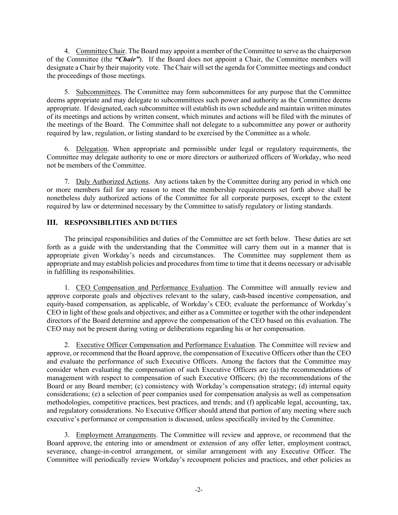4. Committee Chair. The Board may appoint a member of the Committee to serve as the chairperson of the Committee (the *"Chair"*). If the Board does not appoint a Chair, the Committee members will designate a Chair by their majority vote. The Chair will set the agenda for Committee meetings and conduct the proceedings of those meetings.

5. Subcommittees. The Committee may form subcommittees for any purpose that the Committee deems appropriate and may delegate to subcommittees such power and authority as the Committee deems appropriate. If designated, each subcommittee will establish its own schedule and maintain written minutes of its meetings and actions by written consent, which minutes and actions will be filed with the minutes of the meetings of the Board. The Committee shall not delegate to a subcommittee any power or authority required by law, regulation, or listing standard to be exercised by the Committee as a whole.

6. Delegation. When appropriate and permissible under legal or regulatory requirements, the Committee may delegate authority to one or more directors or authorized officers of Workday, who need not be members of the Committee.

7. Duly Authorized Actions. Any actions taken by the Committee during any period in which one or more members fail for any reason to meet the membership requirements set forth above shall be nonetheless duly authorized actions of the Committee for all corporate purposes, except to the extent required by law or determined necessary by the Committee to satisfy regulatory or listing standards.

# **III. RESPONSIBILITIES AND DUTIES**

The principal responsibilities and duties of the Committee are set forth below. These duties are set forth as a guide with the understanding that the Committee will carry them out in a manner that is appropriate given Workday's needs and circumstances. The Committee may supplement them as appropriate and may establish policies and procedures from time to time that it deems necessary or advisable in fulfilling its responsibilities.

1. CEO Compensation and Performance Evaluation. The Committee will annually review and approve corporate goals and objectives relevant to the salary, cash-based incentive compensation, and equity-based compensation, as applicable, of Workday's CEO; evaluate the performance of Workday's CEO in light of these goals and objectives; and either as a Committee or together with the other independent directors of the Board determine and approve the compensation of the CEO based on this evaluation. The CEO may not be present during voting or deliberations regarding his or her compensation.

2. Executive Officer Compensation and Performance Evaluation. The Committee will review and approve, or recommend that the Board approve, the compensation of Executive Officers other than the CEO and evaluate the performance of such Executive Officers. Among the factors that the Committee may consider when evaluating the compensation of such Executive Officers are (a) the recommendations of management with respect to compensation of such Executive Officers; (b) the recommendations of the Board or any Board member; (c) consistency with Workday's compensation strategy; (d) internal equity considerations; (e) a selection of peer companies used for compensation analysis as well as compensation methodologies, competitive practices, best practices, and trends; and (f) applicable legal, accounting, tax, and regulatory considerations. No Executive Officer should attend that portion of any meeting where such executive's performance or compensation is discussed, unless specifically invited by the Committee.

3. Employment Arrangements. The Committee will review and approve, or recommend that the Board approve, the entering into or amendment or extension of any offer letter, employment contract, severance, change-in-control arrangement, or similar arrangement with any Executive Officer. The Committee will periodically review Workday's recoupment policies and practices, and other policies as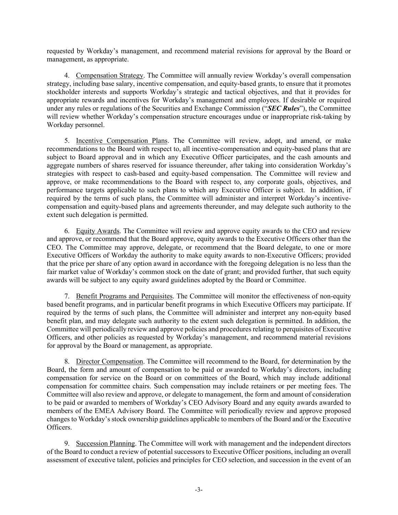requested by Workday's management, and recommend material revisions for approval by the Board or management, as appropriate.

4. Compensation Strategy. The Committee will annually review Workday's overall compensation strategy, including base salary, incentive compensation, and equity-based grants, to ensure that it promotes stockholder interests and supports Workday's strategic and tactical objectives, and that it provides for appropriate rewards and incentives for Workday's management and employees. If desirable or required under any rules or regulations of the Securities and Exchange Commission ("*SEC Rules*"), the Committee will review whether Workday's compensation structure encourages undue or inappropriate risk-taking by Workday personnel.

5. Incentive Compensation Plans. The Committee will review, adopt, and amend, or make recommendations to the Board with respect to, all incentive-compensation and equity-based plans that are subject to Board approval and in which any Executive Officer participates, and the cash amounts and aggregate numbers of shares reserved for issuance thereunder, after taking into consideration Workday's strategies with respect to cash-based and equity-based compensation. The Committee will review and approve, or make recommendations to the Board with respect to, any corporate goals, objectives, and performance targets applicable to such plans to which any Executive Officer is subject. In addition, if required by the terms of such plans, the Committee will administer and interpret Workday's incentivecompensation and equity-based plans and agreements thereunder, and may delegate such authority to the extent such delegation is permitted.

6. Equity Awards. The Committee will review and approve equity awards to the CEO and review and approve, or recommend that the Board approve, equity awards to the Executive Officers other than the CEO. The Committee may approve, delegate, or recommend that the Board delegate, to one or more Executive Officers of Workday the authority to make equity awards to non-Executive Officers; provided that the price per share of any option award in accordance with the foregoing delegation is no less than the fair market value of Workday's common stock on the date of grant; and provided further, that such equity awards will be subject to any equity award guidelines adopted by the Board or Committee.

7. Benefit Programs and Perquisites. The Committee will monitor the effectiveness of non-equity based benefit programs, and in particular benefit programs in which Executive Officers may participate. If required by the terms of such plans, the Committee will administer and interpret any non-equity based benefit plan, and may delegate such authority to the extent such delegation is permitted. In addition, the Committee will periodically review and approve policies and procedures relating to perquisites of Executive Officers, and other policies as requested by Workday's management, and recommend material revisions for approval by the Board or management, as appropriate.

8. Director Compensation. The Committee will recommend to the Board, for determination by the Board, the form and amount of compensation to be paid or awarded to Workday's directors, including compensation for service on the Board or on committees of the Board, which may include additional compensation for committee chairs. Such compensation may include retainers or per meeting fees. The Committee will also review and approve, or delegate to management, the form and amount of consideration to be paid or awarded to members of Workday's CEO Advisory Board and any equity awards awarded to members of the EMEA Advisory Board. The Committee will periodically review and approve proposed changes to Workday's stock ownership guidelines applicable to members of the Board and/or the Executive Officers.

9. Succession Planning. The Committee will work with management and the independent directors of the Board to conduct a review of potential successors to Executive Officer positions, including an overall assessment of executive talent, policies and principles for CEO selection, and succession in the event of an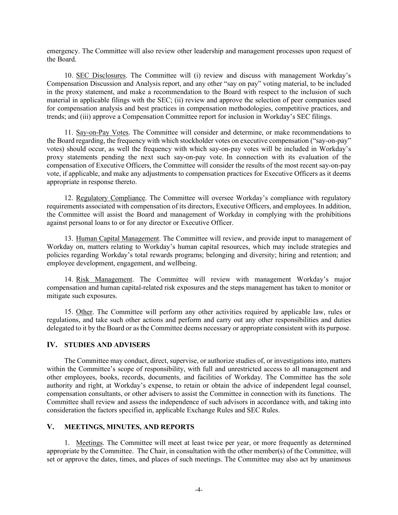emergency. The Committee will also review other leadership and management processes upon request of the Board.

10. SEC Disclosures. The Committee will (i) review and discuss with management Workday's Compensation Discussion and Analysis report, and any other "say on pay" voting material, to be included in the proxy statement, and make a recommendation to the Board with respect to the inclusion of such material in applicable filings with the SEC; (ii) review and approve the selection of peer companies used for compensation analysis and best practices in compensation methodologies, competitive practices, and trends; and (iii) approve a Compensation Committee report for inclusion in Workday's SEC filings.

11. Say-on-Pay Votes. The Committee will consider and determine, or make recommendations to the Board regarding, the frequency with which stockholder votes on executive compensation ("say-on-pay" votes) should occur, as well the frequency with which say-on-pay votes will be included in Workday's proxy statements pending the next such say-on-pay vote. In connection with its evaluation of the compensation of Executive Officers, the Committee will consider the results of the most recent say-on-pay vote, if applicable, and make any adjustments to compensation practices for Executive Officers as it deems appropriate in response thereto.

12. Regulatory Compliance. The Committee will oversee Workday's compliance with regulatory requirements associated with compensation of its directors, Executive Officers, and employees. In addition, the Committee will assist the Board and management of Workday in complying with the prohibitions against personal loans to or for any director or Executive Officer.

13. Human Capital Management. The Committee will review, and provide input to management of Workday on, matters relating to Workday's human capital resources, which may include strategies and policies regarding Workday's total rewards programs; belonging and diversity; hiring and retention; and employee development, engagement, and wellbeing.

14. Risk Management. The Committee will review with management Workday's major compensation and human capital-related risk exposures and the steps management has taken to monitor or mitigate such exposures.

15. Other. The Committee will perform any other activities required by applicable law, rules or regulations, and take such other actions and perform and carry out any other responsibilities and duties delegated to it by the Board or as the Committee deems necessary or appropriate consistent with its purpose.

## **IV. STUDIES AND ADVISERS**

The Committee may conduct, direct, supervise, or authorize studies of, or investigations into, matters within the Committee's scope of responsibility, with full and unrestricted access to all management and other employees, books, records, documents, and facilities of Workday. The Committee has the sole authority and right, at Workday's expense, to retain or obtain the advice of independent legal counsel, compensation consultants, or other advisers to assist the Committee in connection with its functions. The Committee shall review and assess the independence of such advisors in accordance with, and taking into consideration the factors specified in, applicable Exchange Rules and SEC Rules.

## **V. MEETINGS, MINUTES, AND REPORTS**

1. Meetings. The Committee will meet at least twice per year, or more frequently as determined appropriate by the Committee. The Chair, in consultation with the other member(s) of the Committee, will set or approve the dates, times, and places of such meetings. The Committee may also act by unanimous